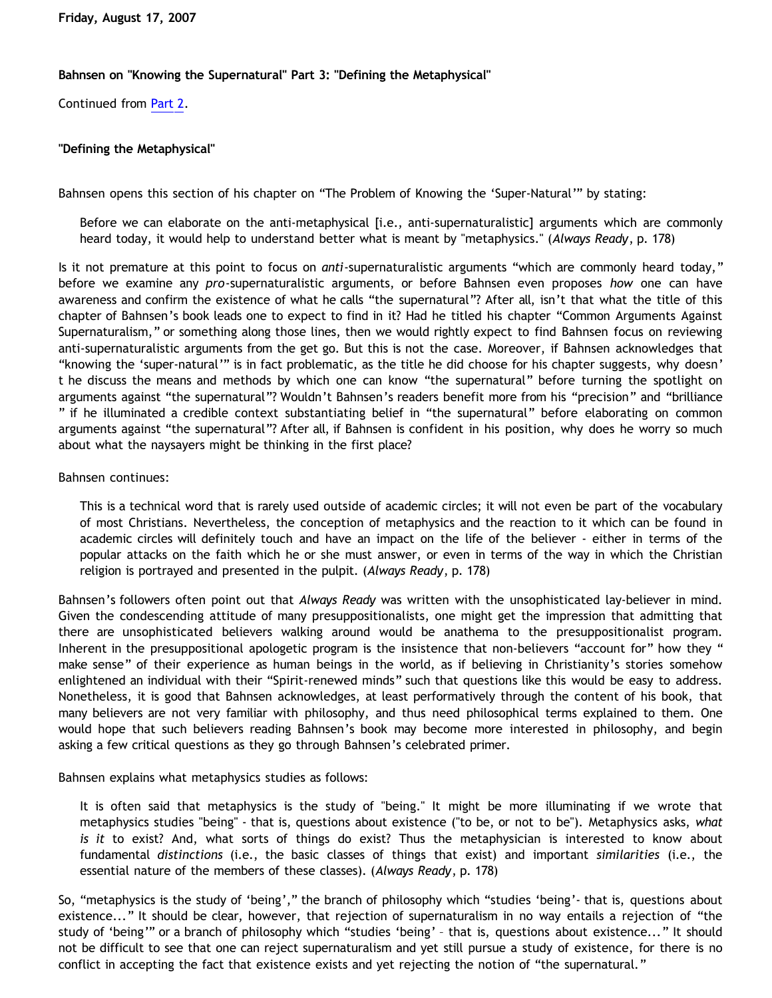## **Bahnsen on "Knowing the Supernatural" Part 3: "Defining the Metaphysical"**

Continued from [Part 2](http://bahnsenburner.blogspot.com/2007/08/bahnsen-on-knowing-supernatural-part-2.html).

## **"Defining the Metaphysical"**

Bahnsen opens this section of his chapter on "The Problem of Knowing the 'Super-Natural'" by stating:

Before we can elaborate on the anti-metaphysical [i.e., anti-supernaturalistic] arguments which are commonly heard today, it would help to understand better what is meant by "metaphysics." (*Always Ready*, p. 178)

Is it not premature at this point to focus on *anti*-supernaturalistic arguments "which are commonly heard today," before we examine any *pro*-supernaturalistic arguments, or before Bahnsen even proposes *how* one can have awareness and confirm the existence of what he calls "the supernatural"? After all, isn't that what the title of this chapter of Bahnsen's book leads one to expect to find in it? Had he titled his chapter "Common Arguments Against Supernaturalism," or something along those lines, then we would rightly expect to find Bahnsen focus on reviewing anti-supernaturalistic arguments from the get go. But this is not the case. Moreover, if Bahnsen acknowledges that "knowing the 'super-natural'" is in fact problematic, as the title he did choose for his chapter suggests, why doesn' t he discuss the means and methods by which one can know "the supernatural" before turning the spotlight on arguments against "the supernatural"? Wouldn't Bahnsen's readers benefit more from his "precision" and "brilliance " if he illuminated a credible context substantiating belief in "the supernatural" before elaborating on common arguments against "the supernatural"? After all, if Bahnsen is confident in his position, why does he worry so much about what the naysayers might be thinking in the first place?

## Bahnsen continues:

This is a technical word that is rarely used outside of academic circles; it will not even be part of the vocabulary of most Christians. Nevertheless, the conception of metaphysics and the reaction to it which can be found in academic circles will definitely touch and have an impact on the life of the believer - either in terms of the popular attacks on the faith which he or she must answer, or even in terms of the way in which the Christian religion is portrayed and presented in the pulpit. (*Always Ready*, p. 178)

Bahnsen's followers often point out that *Always Ready* was written with the unsophisticated lay-believer in mind. Given the condescending attitude of many presuppositionalists, one might get the impression that admitting that there are unsophisticated believers walking around would be anathema to the presuppositionalist program. Inherent in the presuppositional apologetic program is the insistence that non-believers "account for" how they " make sense" of their experience as human beings in the world, as if believing in Christianity's stories somehow enlightened an individual with their "Spirit-renewed minds" such that questions like this would be easy to address. Nonetheless, it is good that Bahnsen acknowledges, at least performatively through the content of his book, that many believers are not very familiar with philosophy, and thus need philosophical terms explained to them. One would hope that such believers reading Bahnsen's book may become more interested in philosophy, and begin asking a few critical questions as they go through Bahnsen's celebrated primer.

Bahnsen explains what metaphysics studies as follows:

It is often said that metaphysics is the study of "being." It might be more illuminating if we wrote that metaphysics studies "being" - that is, questions about existence ("to be, or not to be"). Metaphysics asks, *what is it* to exist? And, what sorts of things do exist? Thus the metaphysician is interested to know about fundamental *distinctions* (i.e., the basic classes of things that exist) and important *similarities* (i.e., the essential nature of the members of these classes). (*Always Ready*, p. 178)

So, "metaphysics is the study of 'being'," the branch of philosophy which "studies 'being'- that is, questions about existence..." It should be clear, however, that rejection of supernaturalism in no way entails a rejection of "the study of 'being'" or a branch of philosophy which "studies 'being' – that is, questions about existence..." It should not be difficult to see that one can reject supernaturalism and yet still pursue a study of existence, for there is no conflict in accepting the fact that existence exists and yet rejecting the notion of "the supernatural."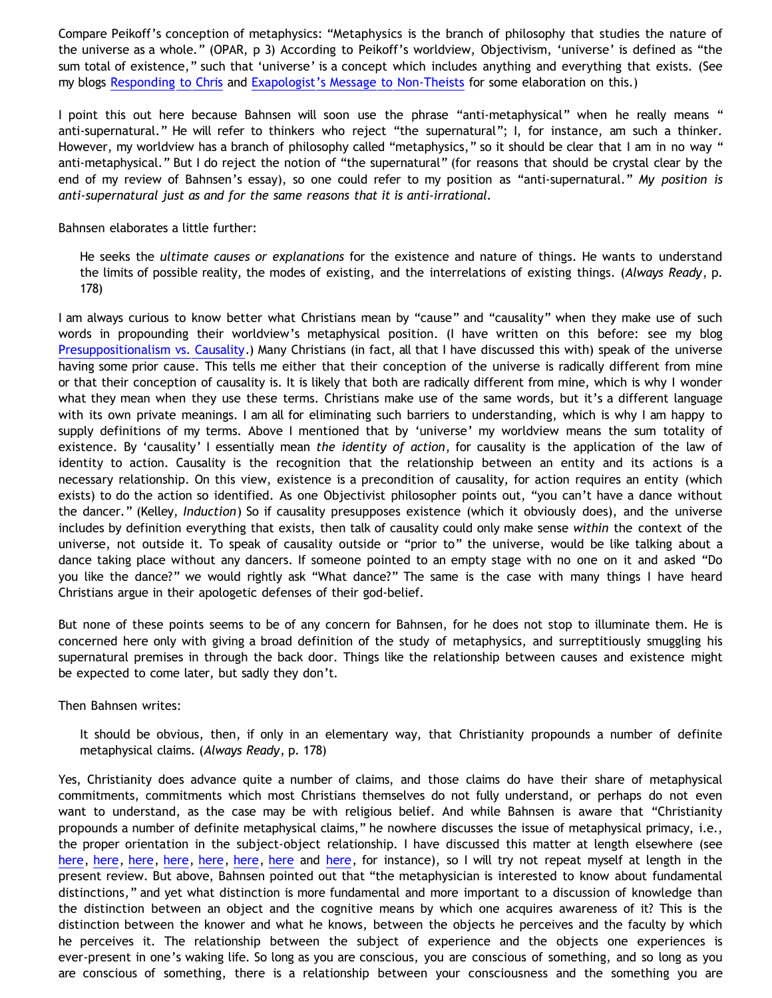Compare Peikoff's conception of metaphysics: "Metaphysics is the branch of philosophy that studies the nature of the universe as a whole." (OPAR, p 3) According to Peikoff's worldview, Objectivism, 'universe' is defined as "the sum total of existence," such that 'universe' is a concept which includes anything and everything that exists. (See my blogs [Responding to Chris](http://bahnsenburner.blogspot.com/2006/07/responding-to-chris.html) and [Exapologist's Message to Non-Theists](http://bahnsenburner.blogspot.com/2007/02/exapologists-message-to-non-theists.html) for some elaboration on this.)

I point this out here because Bahnsen will soon use the phrase "anti-metaphysical" when he really means " anti-supernatural." He will refer to thinkers who reject "the supernatural"; I, for instance, am such a thinker. However, my worldview has a branch of philosophy called "metaphysics," so it should be clear that I am in no way " anti-metaphysical." But I do reject the notion of "the supernatural" (for reasons that should be crystal clear by the end of my review of Bahnsen's essay), so one could refer to my position as "anti-supernatural." *My position is anti-supernatural just as and for the same reasons that it is anti-irrational.*

Bahnsen elaborates a little further:

He seeks the *ultimate causes or explanations* for the existence and nature of things. He wants to understand the limits of possible reality, the modes of existing, and the interrelations of existing things. (*Always Ready*, p. 178)

I am always curious to know better what Christians mean by "cause" and "causality" when they make use of such words in propounding their worldview's metaphysical position. (I have written on this before: see my blog [Presuppositionalism vs. Causality.](http://bahnsenburner.blogspot.com/2005/03/presuppositionalism-vs-causality.html)) Many Christians (in fact, all that I have discussed this with) speak of the universe having some prior cause. This tells me either that their conception of the universe is radically different from mine or that their conception of causality is. It is likely that both are radically different from mine, which is why I wonder what they mean when they use these terms. Christians make use of the same words, but it's a different language with its own private meanings. I am all for eliminating such barriers to understanding, which is why I am happy to supply definitions of my terms. Above I mentioned that by 'universe' my worldview means the sum totality of existence. By 'causality' I essentially mean *the identity of action*, for causality is the application of the law of identity to action. Causality is the recognition that the relationship between an entity and its actions is a necessary relationship. On this view, existence is a precondition of causality, for action requires an entity (which exists) to do the action so identified. As one Objectivist philosopher points out, "you can't have a dance without the dancer." (Kelley, *Induction*) So if causality presupposes existence (which it obviously does), and the universe includes by definition everything that exists, then talk of causality could only make sense *within* the context of the universe, not outside it. To speak of causality outside or "prior to" the universe, would be like talking about a dance taking place without any dancers. If someone pointed to an empty stage with no one on it and asked "Do you like the dance?" we would rightly ask "What dance?" The same is the case with many things I have heard Christians argue in their apologetic defenses of their god-belief.

But none of these points seems to be of any concern for Bahnsen, for he does not stop to illuminate them. He is concerned here only with giving a broad definition of the study of metaphysics, and surreptitiously smuggling his supernatural premises in through the back door. Things like the relationship between causes and existence might be expected to come later, but sadly they don't.

Then Bahnsen writes:

It should be obvious, then, if only in an elementary way, that Christianity propounds a number of definite metaphysical claims. (*Always Ready*, p. 178)

Yes, Christianity does advance quite a number of claims, and those claims do have their share of metaphysical commitments, commitments which most Christians themselves do not fully understand, or perhaps do not even want to understand, as the case may be with religious belief. And while Bahnsen is aware that "Christianity propounds a number of definite metaphysical claims," he nowhere discusses the issue of metaphysical primacy, i.e., the proper orientation in the subject-object relationship. I have discussed this matter at length elsewhere (see [here](http://bahnsenburner.blogspot.com/2006/07/metaphysical-subjectivism-and.html), [here,](http://bahnsenburner.blogspot.com/2006/07/metaphysical-subjectivism-and_06.html) [here,](http://bahnsenburner.blogspot.com/2006/12/axioms-and-primacy-of-existence.html) [here](http://bahnsenburner.blogspot.com/2006/12/theism-and-subjective-metaphysics.html), [here](http://bahnsenburner.blogspot.com/2006/12/reveling-in-reversals.html), [here](http://www.geocities.com/katholon/Contra_Pike.pdf), [here](http://www.geocities.com/katholon/squarecircles.htm) and [here](http://www.geocities.com/katholon/DBvPM1005.htm), for instance), so I will try not repeat myself at length in the present review. But above, Bahnsen pointed out that "the metaphysician is interested to know about fundamental distinctions," and yet what distinction is more fundamental and more important to a discussion of knowledge than the distinction between an object and the cognitive means by which one acquires awareness of it? This is the distinction between the knower and what he knows, between the objects he perceives and the faculty by which he perceives it. The relationship between the subject of experience and the objects one experiences is ever-present in one's waking life. So long as you are conscious, you are conscious of something, and so long as you are conscious of something, there is a relationship between your consciousness and the something you are